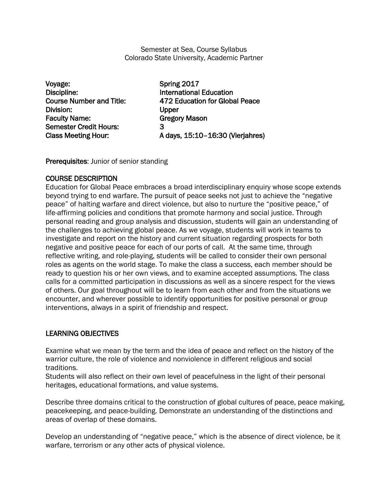Semester at Sea, Course Syllabus Colorado State University, Academic Partner

Voyage: Spring 2017 Discipline: International Education Division: Upper Faculty Name: Gregory Mason Semester Credit Hours: 3

Course Number and Title: 472 Education for Global Peace Class Meeting Hour: A days, 15:10–16:30 (Vierjahres)

Prerequisites: Junior of senior standing

## COURSE DESCRIPTION

Education for Global Peace embraces a broad interdisciplinary enquiry whose scope extends beyond trying to end warfare. The pursuit of peace seeks not just to achieve the "negative peace" of halting warfare and direct violence, but also to nurture the "positive peace," of life-affirming policies and conditions that promote harmony and social justice. Through personal reading and group analysis and discussion, students will gain an understanding of the challenges to achieving global peace. As we voyage, students will work in teams to investigate and report on the history and current situation regarding prospects for both negative and positive peace for each of our ports of call. At the same time, through reflective writing, and role-playing, students will be called to consider their own personal roles as agents on the world stage. To make the class a success, each member should be ready to question his or her own views, and to examine accepted assumptions. The class calls for a committed participation in discussions as well as a sincere respect for the views of others. Our goal throughout will be to learn from each other and from the situations we encounter, and wherever possible to identify opportunities for positive personal or group interventions, always in a spirit of friendship and respect.

# LEARNING OBJECTIVES

Examine what we mean by the term and the idea of peace and reflect on the history of the warrior culture, the role of violence and nonviolence in different religious and social traditions.

Students will also reflect on their own level of peacefulness in the light of their personal heritages, educational formations, and value systems.

Describe three domains critical to the construction of global cultures of peace, peace making, peacekeeping, and peace-building. Demonstrate an understanding of the distinctions and areas of overlap of these domains.

Develop an understanding of "negative peace," which is the absence of direct violence, be it warfare, terrorism or any other acts of physical violence.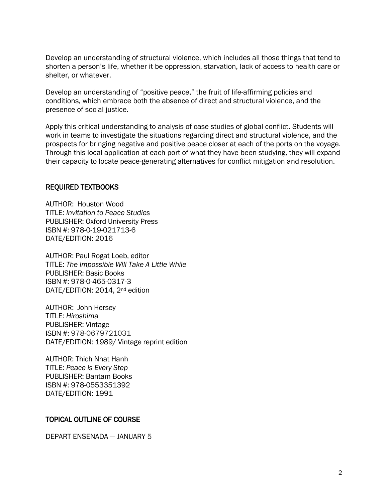Develop an understanding of structural violence, which includes all those things that tend to shorten a person's life, whether it be oppression, starvation, lack of access to health care or shelter, or whatever.

Develop an understanding of "positive peace," the fruit of life-affirming policies and conditions, which embrace both the absence of direct and structural violence, and the presence of social justice.

Apply this critical understanding to analysis of case studies of global conflict. Students will work in teams to investigate the situations regarding direct and structural violence, and the prospects for bringing negative and positive peace closer at each of the ports on the voyage. Through this local application at each port of what they have been studying, they will expand their capacity to locate peace-generating alternatives for conflict mitigation and resolution.

#### REQUIRED TEXTBOOKS

AUTHOR: Houston Wood TITLE: *Invitation to Peace Studies* PUBLISHER: Oxford University Press ISBN #: 978-0-19-021713-6 DATE/EDITION: 2016

AUTHOR: Paul Rogat Loeb, editor TITLE: *The Impossible Will Take A Little While* PUBLISHER: Basic Books ISBN #: 978-0-465-0317-3 DATE/EDITION: 2014, 2nd edition

AUTHOR: John Hersey TITLE: *Hiroshima* PUBLISHER: Vintage ISBN #: 978-0679721031 DATE/EDITION: 1989/ Vintage reprint edition

AUTHOR: Thich Nhat Hanh TITLE: *Peace is Every Step* PUBLISHER: Bantam Books ISBN #: 978-0553351392 DATE/EDITION: 1991

#### TOPICAL OUTLINE OF COURSE

DEPART ENSENADA — JANUARY 5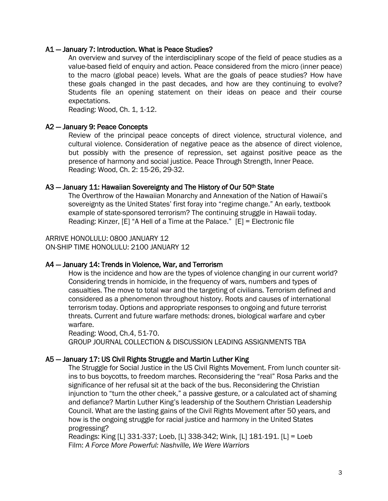#### A1 — January 7: Introduction. What is Peace Studies?

An overview and survey of the interdisciplinary scope of the field of peace studies as a value-based field of enquiry and action. Peace considered from the micro (inner peace) to the macro (global peace) levels. What are the goals of peace studies? How have these goals changed in the past decades, and how are they continuing to evolve? Students file an opening statement on their ideas on peace and their course expectations.

Reading: Wood, Ch. 1, 1-12.

#### A2 — January 9: Peace Concepts

Review of the principal peace concepts of direct violence, structural violence, and cultural violence. Consideration of negative peace as the absence of direct violence, but possibly with the presence of repression, set against positive peace as the presence of harmony and social justice. Peace Through Strength, Inner Peace. Reading: Wood, Ch. 2: 15-26, 29-32.

#### A3 – January 11: Hawaiian Sovereignty and The History of Our 50<sup>th</sup> State

The Overthrow of the Hawaiian Monarchy and Annexation of the Nation of Hawaii's sovereignty as the United States' first foray into "regime change." An early, textbook example of state-sponsored terrorism? The continuing struggle in Hawaii today. Reading: Kinzer, [E] "A Hell of a Time at the Palace." [E] = Electronic file

ARRIVE HONOLULU: 0800 JANUARY 12 ON-SHIP TIME HONOLULU: 2100 JANUARY 12

## A4 — January 14: Trends in Violence, War, and Terrorism

How is the incidence and how are the types of violence changing in our current world? Considering trends in homicide, in the frequency of wars, numbers and types of casualties. The move to total war and the targeting of civilians. Terrorism defined and considered as a phenomenon throughout history. Roots and causes of international terrorism today. Options and appropriate responses to ongoing and future terrorist threats. Current and future warfare methods: drones, biological warfare and cyber warfare.

Reading: Wood, Ch.4, 51-70. GROUP JOURNAL COLLECTION & DISCUSSION LEADING ASSIGNMENTS TBA

## A5 — January 17: US Civil Rights Struggle and Martin Luther King

The Struggle for Social Justice in the US Civil Rights Movement. From lunch counter sitins to bus boycotts, to freedom marches. Reconsidering the "real" Rosa Parks and the significance of her refusal sit at the back of the bus. Reconsidering the Christian injunction to "turn the other cheek," a passive gesture, or a calculated act of shaming and defiance? Martin Luther King's leadership of the Southern Christian Leadership Council. What are the lasting gains of the Civil Rights Movement after 50 years, and how is the ongoing struggle for racial justice and harmony in the United States progressing?

Readings: King [L] 331-337; Loeb, [L] 338-342; Wink, [L] 181-191. [L] = Loeb Film: *A Force More Powerful: Nashville, We Were Warriors*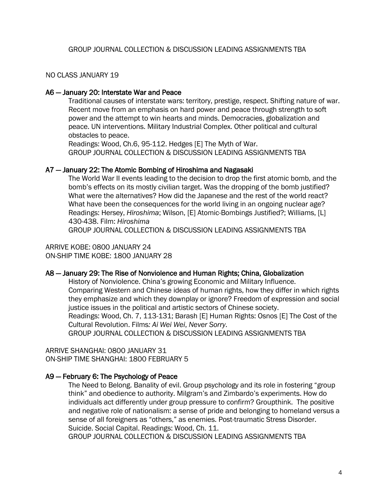#### NO CLASS JANUARY 19

#### A6 — January 20: Interstate War and Peace

Traditional causes of interstate wars: territory, prestige, respect. Shifting nature of war. Recent move from an emphasis on hard power and peace through strength to soft power and the attempt to win hearts and minds. Democracies, globalization and peace. UN interventions. Military Industrial Complex. Other political and cultural obstacles to peace.

Readings: Wood, Ch.6, 95-112. Hedges [E] The Myth of War. GROUP JOURNAL COLLECTION & DISCUSSION LEADING ASSIGNMENTS TBA

#### A7 — January 22: The Atomic Bombing of Hiroshima and Nagasaki

The World War II events leading to the decision to drop the first atomic bomb, and the bomb's effects on its mostly civilian target. Was the dropping of the bomb justified? What were the alternatives? How did the Japanese and the rest of the world react? What have been the consequences for the world living in an ongoing nuclear age? Readings: Hersey, *Hiroshima*; Wilson, [E] Atomic-Bombings Justified?; Williams, [L] 430-438. Film: *Hiroshima*

GROUP JOURNAL COLLECTION & DISCUSSION LEADING ASSIGNMENTS TBA

ARRIVE KOBE: 0800 JANUARY 24 ON-SHIP TIME KOBE: 1800 JANUARY 28

#### A8 — January 29: The Rise of Nonviolence and Human Rights; China, Globalization

 History of Nonviolence. China's growing Economic and Military Influence. Comparing Western and Chinese ideas of human rights, how they differ in which rights they emphasize and which they downplay or ignore? Freedom of expression and social justice issues in the political and artistic sectors of Chinese society.

Readings: Wood, Ch. 7, 113-131; Barash [E] Human Rights: Osnos [E] The Cost of the Cultural Revolution. Films*: Ai Wei Wei*, *Never Sorry*.

GROUP JOURNAL COLLECTION & DISCUSSION LEADING ASSIGNMENTS TBA

ARRIVE SHANGHAI: 0800 JANUARY 31 ON-SHIP TIME SHANGHAI: 1800 FEBRUARY 5

## A9 — February 6: The Psychology of Peace

The Need to Belong. Banality of evil. Group psychology and its role in fostering "group think" and obedience to authority. Milgram's and Zimbardo's experiments. How do individuals act differently under group pressure to confirm? Groupthink. The positive and negative role of nationalism: a sense of pride and belonging to homeland versus a sense of all foreigners as "others," as enemies. Post-traumatic Stress Disorder. Suicide. Social Capital. Readings: Wood, Ch. 11.

GROUP JOURNAL COLLECTION & DISCUSSION LEADING ASSIGNMENTS TBA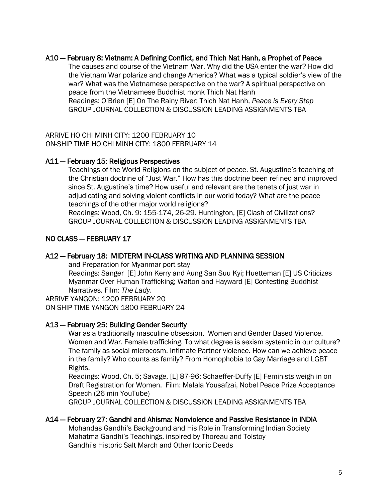## A10 — February 8: Vietnam: A Defining Conflict, and Thich Nat Hanh, a Prophet of Peace

The causes and course of the Vietnam War. Why did the USA enter the war? How did the Vietnam War polarize and change America? What was a typical soldier's view of the war? What was the Vietnamese perspective on the war? A spiritual perspective on peace from the Vietnamese Buddhist monk Thich Nat Hanh Readings: O'Brien [E] On The Rainy River; Thich Nat Hanh, *Peace is Every Step* GROUP JOURNAL COLLECTION & DISCUSSION LEADING ASSIGNMENTS TBA

ARRIVE HO CHI MINH CITY: 1200 FEBRUARY 10 ON-SHIP TIME HO CHI MINH CITY: 1800 FEBRUARY 14

## A11 — February 15: Religious Perspectives

Teachings of the World Religions on the subject of peace. St. Augustine's teaching of the Christian doctrine of "Just War." How has this doctrine been refined and improved since St. Augustine's time? How useful and relevant are the tenets of just war in adjudicating and solving violent conflicts in our world today? What are the peace teachings of the other major world religions?

Readings: Wood, Ch. 9: 155-174, 26-29. Huntington, [E] Clash of Civilizations? GROUP JOURNAL COLLECTION & DISCUSSION LEADING ASSIGNMENTS TBA

# NO CLASS — FEBRUARY 17

# A12 — February 18: MIDTERM IN-CLASS WRITING AND PLANNING SESSION

and Preparation for Myanmar port stay

Readings: Sanger [E] John Kerry and Aung San Suu Kyi; Huetteman [E] US Criticizes Myanmar Over Human Trafficking; Walton and Hayward [E] Contesting Buddhist Narratives. Film: *The Lady*.

ARRIVE YANGON: 1200 FEBRUARY 20 ON-SHIP TIME YANGON 1800 FEBRUARY 24

## A13 — February 25: Building Gender Security

War as a traditionally masculine obsession. Women and Gender Based Violence. Women and War. Female trafficking. To what degree is sexism systemic in our culture? The family as social microcosm. Intimate Partner violence. How can we achieve peace in the family? Who counts as family? From Homophobia to Gay Marriage and LGBT Rights.

Readings: Wood, Ch. 5; Savage, [L] 87-96; Schaeffer-Duffy [E] Feminists weigh in on Draft Registration for Women. Film: Malala Yousafzai, Nobel Peace Prize Acceptance Speech (26 min YouTube)

GROUP JOURNAL COLLECTION & DISCUSSION LEADING ASSIGNMENTS TBA

## A14 — February 27: Gandhi and Ahisma: Nonviolence and Passive Resistance in INDIA

 Mohandas Gandhi's Background and His Role in Transforming Indian Society Mahatma Gandhi's Teachings, inspired by Thoreau and Tolstoy Gandhi's Historic Salt March and Other Iconic Deeds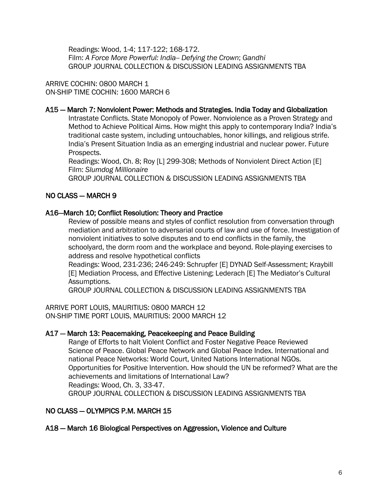Readings: Wood, 1-4; 117-122; 168-172. Film: *A Force More Powerful: India-- Defying the Crown*; *Gandhi* GROUP JOURNAL COLLECTION & DISCUSSION LEADING ASSIGNMENTS TBA

ARRIVE COCHIN: 0800 MARCH 1 ON-SHIP TIME COCHIN: 1600 MARCH 6

## A15 — March 7: Nonviolent Power: Methods and Strategies. India Today and Globalization

Intrastate Conflicts. State Monopoly of Power. Nonviolence as a Proven Strategy and Method to Achieve Political Aims. How might this apply to contemporary India? India's traditional caste system, including untouchables, honor killings, and religious strife. India's Present Situation India as an emerging industrial and nuclear power. Future Prospects.

 Readings: Wood, Ch. 8; Roy [L] 299-308; Methods of Nonviolent Direct Action [E] Film: *Slumdog Millionaire*

GROUP JOURNAL COLLECTION & DISCUSSION LEADING ASSIGNMENTS TBA

# NO CLASS — MARCH 9

## A16—March 10; Conflict Resolution: Theory and Practice

Review of possible means and styles of conflict resolution from conversation through mediation and arbitration to adversarial courts of law and use of force. Investigation of nonviolent initiatives to solve disputes and to end conflicts in the family, the schoolyard, the dorm room and the workplace and beyond. Role-playing exercises to address and resolve hypothetical conflicts

Readings: Wood, 231-236; 246-249: Schrupfer [E] DYNAD Self-Assessment; Kraybill [E] Mediation Process, and Effective Listening; Lederach [E] The Mediator's Cultural Assumptions.

GROUP JOURNAL COLLECTION & DISCUSSION LEADING ASSIGNMENTS TBA

ARRIVE PORT LOUIS, MAURITIUS: 0800 MARCH 12 ON-SHIP TIME PORT LOUIS, MAURITIUS: 2000 MARCH 12

## A17 — March 13: Peacemaking, Peacekeeping and Peace Building

Range of Efforts to halt Violent Conflict and Foster Negative Peace Reviewed Science of Peace. Global Peace Network and Global Peace Index. International and national Peace Networks: World Court, United Nations International NGOs. Opportunities for Positive Intervention. How should the UN be reformed? What are the achievements and limitations of International Law? Readings: Wood, Ch. 3, 33-47. GROUP JOURNAL COLLECTION & DISCUSSION LEADING ASSIGNMENTS TBA

## NO CLASS — OLYMPICS P.M. MARCH 15

## A18 — March 16 Biological Perspectives on Aggression, Violence and Culture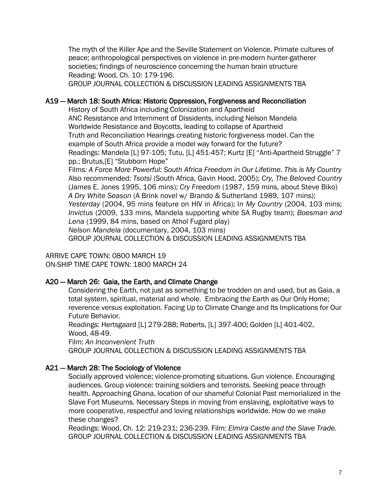The myth of the Killer Ape and the Seville Statement on Violence. Primate cultures of peace; anthropological perspectives on violence in pre-modern hunter-gatherer societies; findings of neuroscience concerning the human brain structure Reading: Wood, Ch. 10: 179-196.

GROUP JOURNAL COLLECTION & DISCUSSION LEADING ASSIGNMENTS TBA

# A19 — March 18: South Africa: Historic Oppression, Forgiveness and Reconciliation

 History of South Africa including Colonization and Apartheid ANC Resistance and Internment of Dissidents, including Nelson Mandela Worldwide Resistance and Boycotts, leading to collapse of Apartheid Truth and Reconciliation Hearings creating historic forgiveness model. Can the example of South Africa provide a model way forward for the future? Readings: Mandela [L] 97-105; Tutu, [L] 451-457; Kurtz [E] "Anti-Apartheid Struggle" 7 pp.; Brutus,[E] "Stubborn Hope"

Films*: A Force More Powerful: South Africa Freedom in Our Lifetime*. *This is My Country* Also recommended: *Tsotsi* (South Africa, Gavin Hood, 2005); *Cry, The Beloved Country* (James E. Jones 1995, 106 mins); *Cry Freedom* (1987, 159 mins, about Steve Biko) *A Dry White Season* (A Brink novel w/ Brando & Sutherland 1989, 107 mins); *Yesterday* (2004, 95 mins feature on HIV in Africa); I*n My Country* (2004, 103 mins; *Invictus* (2009, 133 mins, Mandela supporting white SA Rugby team); *Boesman and Lena* (1999, 84 mins, based on Athol Fugard play) *Nelson Mandela* (documentary, 2004, 103 mins) GROUP JOURNAL COLLECTION & DISCUSSION LEADING ASSIGNMENTS TBA

ARRIVE CAPE TOWN: 0800 MARCH 19 ON-SHIP TIME CAPE TOWN: 1800 MARCH 24

# A20 — March 26: Gaia, the Earth, and Climate Change

Considering the Earth, not just as something to be trodden on and used, but as Gaia, a total system, spiritual, material and whole. Embracing the Earth as Our Only Home; reverence versus exploitation. Facing Up to Climate Change and Its Implications for Our Future Behavior.

Readings: Hertsgaard [L] 279-288; Roberts, [L] 397-400; Golden [L] 401-402, Wood, 48-49.

Film: *An Inconvenient Truth*

GROUP JOURNAL COLLECTION & DISCUSSION LEADING ASSIGNMENTS TBA

# A21 — March 28: The Sociology of Violence

Socially approved violence; violence-promoting situations. Gun violence. Encouraging audiences. Group violence: training soldiers and terrorists. Seeking peace through health. Approaching Ghana, location of our shameful Colonial Past memorialized in the Slave Fort Museums. Necessary Steps in moving from enslaving, exploitative ways to more cooperative, respectful and loving relationships worldwide. How do we make these changes?

Readings: Wood, Ch. 12: 219-231; 236-239. Film: *Elmira Castle and the Slave Trade.* GROUP JOURNAL COLLECTION & DISCUSSION LEADING ASSIGNMENTS TBA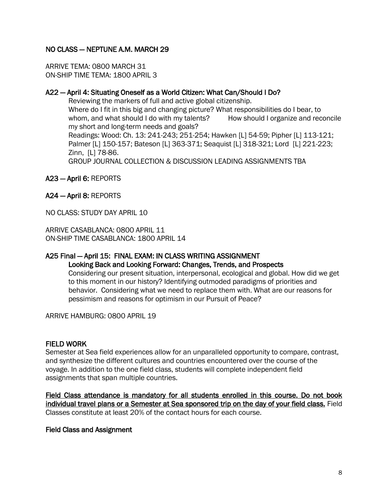# NO CLASS — NEPTUNE A.M. MARCH 29

ARRIVE TEMA: 0800 MARCH 31 ON-SHIP TIME TEMA: 1800 APRIL 3

## A22 — April 4: Situating Oneself as a World Citizen: What Can/Should I Do?

 Reviewing the markers of full and active global citizenship. Where do I fit in this big and changing picture? What responsibilities do I bear, to whom, and what should I do with my talents? How should I organize and reconcile my short and long-term needs and goals? Readings: Wood: Ch. 13: 241-243; 251-254; Hawken [L] 54-59; Pipher [L] 113-121; Palmer [L] 150-157; Bateson [L] 363-371; Seaquist [L] 318-321; Lord [L] 221-223; Zinn, [L] 78-86. GROUP JOURNAL COLLECTION & DISCUSSION LEADING ASSIGNMENTS TBA

- A23 April 6: REPORTS
- A24 April 8: REPORTS

NO CLASS: STUDY DAY APRIL 10

ARRIVE CASABLANCA: 0800 APRIL 11 ON-SHIP TIME CASABLANCA: 1800 APRIL 14

## A25 Final — April 15: FINAL EXAM: IN CLASS WRITING ASSIGNMENT

## Looking Back and Looking Forward: Changes, Trends, and Prospects

Considering our present situation, interpersonal, ecological and global. How did we get to this moment in our history? Identifying outmoded paradigms of priorities and behavior. Considering what we need to replace them with. What are our reasons for pessimism and reasons for optimism in our Pursuit of Peace?

ARRIVE HAMBURG: 0800 APRIL 19

## FIELD WORK

Semester at Sea field experiences allow for an unparalleled opportunity to compare, contrast, and synthesize the different cultures and countries encountered over the course of the voyage. In addition to the one field class, students will complete independent field assignments that span multiple countries.

Field Class attendance is mandatory for all students enrolled in this course. Do not book individual travel plans or a Semester at Sea sponsored trip on the day of your field class. Field Classes constitute at least 20% of the contact hours for each course.

## Field Class and Assignment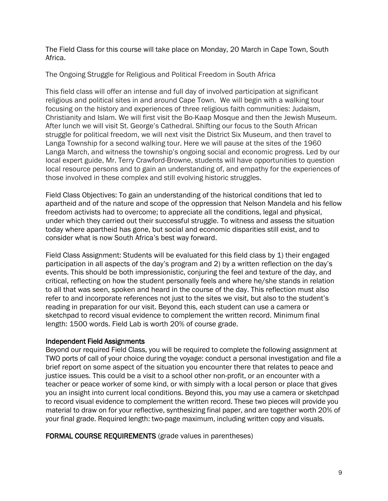The Field Class for this course will take place on Monday, 20 March in Cape Town, South Africa.

The Ongoing Struggle for Religious and Political Freedom in South Africa

This field class will offer an intense and full day of involved participation at significant religious and political sites in and around Cape Town. We will begin with a walking tour focusing on the history and experiences of three religious faith communities: Judaism, Christianity and Islam. We will first visit the Bo-Kaap Mosque and then the Jewish Museum. After lunch we will visit St. George's Cathedral. Shifting our focus to the South African struggle for political freedom, we will next visit the District Six Museum, and then travel to Langa Township for a second walking tour. Here we will pause at the sites of the 1960 Langa March, and witness the township's ongoing social and economic progress. Led by our local expert guide, Mr. Terry Crawford-Browne, students will have opportunities to question local resource persons and to gain an understanding of, and empathy for the experiences of those involved in these complex and still evolving historic struggles.

Field Class Objectives: To gain an understanding of the historical conditions that led to apartheid and of the nature and scope of the oppression that Nelson Mandela and his fellow freedom activists had to overcome; to appreciate all the conditions, legal and physical, under which they carried out their successful struggle. To witness and assess the situation today where apartheid has gone, but social and economic disparities still exist, and to consider what is now South Africa's best way forward.

Field Class Assignment: Students will be evaluated for this field class by 1) their engaged participation in all aspects of the day's program and 2) by a written reflection on the day's events. This should be both impressionistic, conjuring the feel and texture of the day, and critical, reflecting on how the student personally feels and where he/she stands in relation to all that was seen, spoken and heard in the course of the day. This reflection must also refer to and incorporate references not just to the sites we visit, but also to the student's reading in preparation for our visit. Beyond this, each student can use a camera or sketchpad to record visual evidence to complement the written record. Minimum final length: 1500 words. Field Lab is worth 20% of course grade.

# Independent Field Assignments

Beyond our required Field Class, you will be required to complete the following assignment at TWO ports of call of your choice during the voyage: conduct a personal investigation and file a brief report on some aspect of the situation you encounter there that relates to peace and justice issues. This could be a visit to a school other non-profit, or an encounter with a teacher or peace worker of some kind, or with simply with a local person or place that gives you an insight into current local conditions. Beyond this, you may use a camera or sketchpad to record visual evidence to complement the written record. These two pieces will provide you material to draw on for your reflective, synthesizing final paper, and are together worth 20% of your final grade. Required length: two-page maximum, including written copy and visuals.

FORMAL COURSE REQUIREMENTS (grade values in parentheses)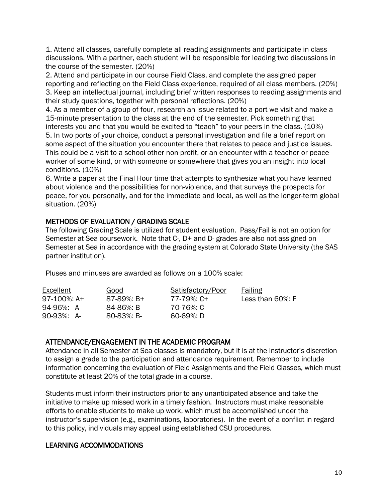1. Attend all classes, carefully complete all reading assignments and participate in class discussions. With a partner, each student will be responsible for leading two discussions in the course of the semester. (20%)

2. Attend and participate in our course Field Class, and complete the assigned paper reporting and reflecting on the Field Class experience, required of all class members. (20%) 3. Keep an intellectual journal, including brief written responses to reading assignments and their study questions, together with personal reflections. (20%)

4. As a member of a group of four, research an issue related to a port we visit and make a 15-minute presentation to the class at the end of the semester. Pick something that interests you and that you would be excited to "teach" to your peers in the class. (10%)

5. In two ports of your choice, conduct a personal investigation and file a brief report on some aspect of the situation you encounter there that relates to peace and justice issues. This could be a visit to a school other non-profit, or an encounter with a teacher or peace worker of some kind, or with someone or somewhere that gives you an insight into local conditions. (10%)

6. Write a paper at the Final Hour time that attempts to synthesize what you have learned about violence and the possibilities for non-violence, and that surveys the prospects for peace, for you personally, and for the immediate and local, as well as the longer-term global situation. (20%)

# METHODS OF EVALUATION / GRADING SCALE

The following Grading Scale is utilized for student evaluation. Pass/Fail is not an option for Semester at Sea coursework. Note that C-, D+ and D- grades are also not assigned on Semester at Sea in accordance with the grading system at Colorado State University (the SAS partner institution).

Pluses and minuses are awarded as follows on a 100% scale:

| Excellent<br>97-100%: A+ | Good<br>87-89%: B+ | Satisfactory/Poor<br>77-79%: C+ | Failing<br>Less than 60%: F |
|--------------------------|--------------------|---------------------------------|-----------------------------|
| 94-96%: A                | 84-86%: B          | 70-76%: C                       |                             |
| 90-93%: A-               | 80-83%: B-         | 60-69%: D                       |                             |

# ATTENDANCE/ENGAGEMENT IN THE ACADEMIC PROGRAM

Attendance in all Semester at Sea classes is mandatory, but it is at the instructor's discretion to assign a grade to the participation and attendance requirement. Remember to include information concerning the evaluation of Field Assignments and the Field Classes, which must constitute at least 20% of the total grade in a course.

Students must inform their instructors prior to any unanticipated absence and take the initiative to make up missed work in a timely fashion. Instructors must make reasonable efforts to enable students to make up work, which must be accomplished under the instructor's supervision (e.g., examinations, laboratories). In the event of a conflict in regard to this policy, individuals may appeal using established CSU procedures.

# LEARNING ACCOMMODATIONS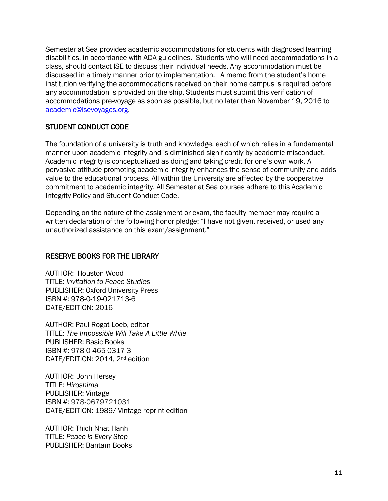Semester at Sea provides academic accommodations for students with diagnosed learning disabilities, in accordance with ADA guidelines. Students who will need accommodations in a class, should contact ISE to discuss their individual needs. Any accommodation must be discussed in a timely manner prior to implementation. A memo from the student's home institution verifying the accommodations received on their home campus is required before any accommodation is provided on the ship. Students must submit this verification of accommodations pre-voyage as soon as possible, but no later than November 19, 2016 to [academic@isevoyages.org.](mailto:academic@isevoyages.org)

# STUDENT CONDUCT CODE

The foundation of a university is truth and knowledge, each of which relies in a fundamental manner upon academic integrity and is diminished significantly by academic misconduct. Academic integrity is conceptualized as doing and taking credit for one's own work. A pervasive attitude promoting academic integrity enhances the sense of community and adds value to the educational process. All within the University are affected by the cooperative commitment to academic integrity. All Semester at Sea courses adhere to this Academic Integrity Policy and Student Conduct Code.

Depending on the nature of the assignment or exam, the faculty member may require a written declaration of the following honor pledge: "I have not given, received, or used any unauthorized assistance on this exam/assignment."

# RESERVE BOOKS FOR THE LIBRARY

AUTHOR: Houston Wood TITLE: *Invitation to Peace Studies* PUBLISHER: Oxford University Press ISBN #: 978-0-19-021713-6 DATE/EDITION: 2016

AUTHOR: Paul Rogat Loeb, editor TITLE: *The Impossible Will Take A Little While* PUBLISHER: Basic Books ISBN #: 978-0-465-0317-3 DATE/EDITION: 2014, 2nd edition

AUTHOR: John Hersey TITLE: *Hiroshima* PUBLISHER: Vintage ISBN #: 978-0679721031 DATE/EDITION: 1989/ Vintage reprint edition

AUTHOR: Thich Nhat Hanh TITLE: *Peace is Every Step* PUBLISHER: Bantam Books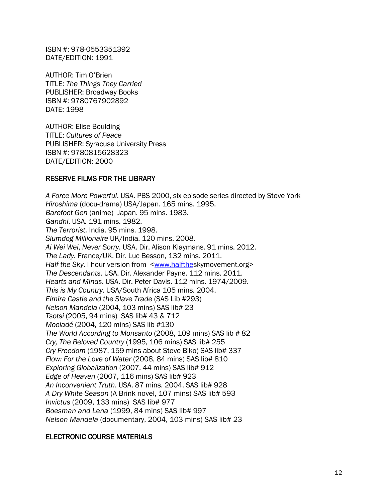ISBN #: 978-0553351392 DATE/EDITION: 1991

AUTHOR: Tim O'Brien TITLE: *The Things They Carried* PUBLISHER: Broadway Books ISBN #: 9780767902892 DATE: 1998

AUTHOR: Elise Boulding TITLE: *Cultures of Peace* PUBLISHER: Syracuse University Press ISBN #: 9780815628323 DATE/EDITION: 2000

## RESERVE FILMS FOR THE LIBRARY

*A Force More Powerful*. USA. PBS 2000, six episode series directed by Steve York *Hiroshima* (docu-drama) USA/Japan. 165 mins. 1995. *Barefoot Gen* (anime) Japan. 95 mins. 1983. *Gandhi*. USA. 191 mins. 1982. *The Terrorist.* India*.* 95 mins. 1998. *Slumdog Millionaire* UK/India. 120 mins. 2008. *Ai Wei Wei*, *Never Sorry*. USA. Dir. Alison Klaymans. 91 mins. 2012. *The Lady.* France/UK. Dir. Luc Besson, 132 mins. 2011. *Half the Sky*. I hour version from [<www.halfthes](http://www.halfthe/)kymovement.org> *The Descendants*. USA. Dir. Alexander Payne. 112 mins. 2011. *Hearts and Minds*. USA. Dir. Peter Davis. 112 mins. 1974/2009. *This is My Country*. USA/South Africa 105 mins. 2004. *Elmira Castle and the Slave Trade* (SAS Lib #293) *Nelson Mandela* (2004, 103 mins) SAS lib# 23 *Tsotsi* (2005, 94 mins) SAS lib# 43 & 712 *Mooladé* (2004, 120 mins) SAS lib #130 *The World According to Monsanto* (2008, 109 mins) SAS lib # 82 *Cry, The Beloved Country* (1995, 106 mins) SAS lib# 255 *Cry Freedom* (1987, 159 mins about Steve Biko) SAS lib# 337 *Flow: For the Love of Water* (2008, 84 mins) SAS lib# 810 *Exploring Globalization* (2007, 44 mins) SAS lib# 912 *Edge of Heaven* (2007, 116 mins) SAS lib# 923 *An Inconvenient Truth*. USA. 87 mins. 2004. SAS lib# 928 *A Dry White Season* (A Brink novel, 107 mins) SAS lib# 593 *Invictus* (2009, 133 mins) SAS lib# 977 *Boesman and Lena* (1999, 84 mins) SAS lib# 997 *Nelson Mandela* (documentary, 2004, 103 mins) SAS lib# 23

## ELECTRONIC COURSE MATERIALS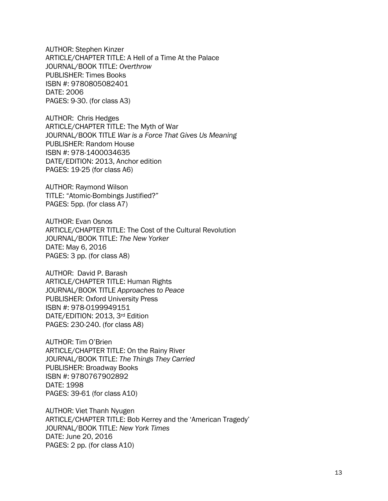AUTHOR: Stephen Kinzer ARTICLE/CHAPTER TITLE: A Hell of a Time At the Palace JOURNAL/BOOK TITLE: *Overthrow* PUBLISHER: Times Books ISBN #: 9780805082401 DATE: 2006 PAGES: 9-30. (for class A3)

AUTHOR: Chris Hedges ARTICLE/CHAPTER TITLE: The Myth of War JOURNAL/BOOK TITLE *War is a Force That Gives Us Meaning* PUBLISHER: Random House ISBN #: 978-1400034635 DATE/EDITION: 2013, Anchor edition PAGES: 19-25 (for class A6)

AUTHOR: Raymond Wilson TITLE: "Atomic-Bombings Justified?" PAGES: 5pp. (for class A7)

AUTHOR: Evan Osnos ARTICLE/CHAPTER TITLE: The Cost of the Cultural Revolution JOURNAL/BOOK TITLE: *The New Yorker* DATE: May 6, 2016 PAGES: 3 pp. (for class A8)

AUTHOR: David P. Barash ARTICLE/CHAPTER TITLE: Human Rights JOURNAL/BOOK TITLE *Approaches to Peace* PUBLISHER: Oxford University Press ISBN #: 978-0199949151 DATE/EDITION: 2013, 3rd Edition PAGES: 230-240. (for class A8)

AUTHOR: Tim O'Brien ARTICLE/CHAPTER TITLE: On the Rainy River JOURNAL/BOOK TITLE: *The Things They Carried* PUBLISHER: Broadway Books ISBN #: 9780767902892 DATE: 1998 PAGES: 39-61 (for class A10)

AUTHOR: Viet Thanh Nyugen ARTICLE/CHAPTER TITLE: Bob Kerrey and the 'American Tragedy' JOURNAL/BOOK TITLE: *New York Times* DATE: June 20, 2016 PAGES: 2 pp. (for class A10)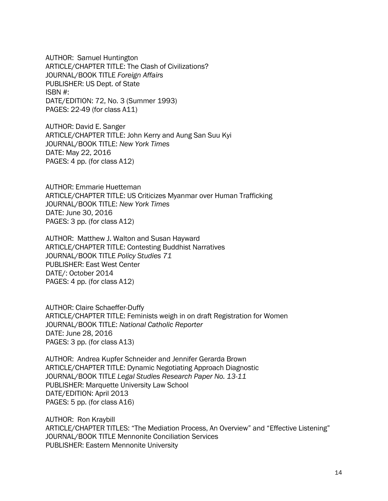AUTHOR: Samuel Huntington ARTICLE/CHAPTER TITLE: The Clash of Civilizations? JOURNAL/BOOK TITLE *Foreign Affairs* PUBLISHER: US Dept. of State ISBN #: DATE/EDITION: 72, No. 3 (Summer 1993) PAGES: 22-49 (for class A11)

AUTHOR: David E. Sanger ARTICLE/CHAPTER TITLE: John Kerry and Aung San Suu Kyi JOURNAL/BOOK TITLE: *New York Times* DATE: May 22, 2016 PAGES: 4 pp. (for class A12)

AUTHOR: Emmarie Huetteman ARTICLE/CHAPTER TITLE: US Criticizes Myanmar over Human Trafficking JOURNAL/BOOK TITLE: *New York Times* DATE: June 30, 2016 PAGES: 3 pp. (for class A12)

AUTHOR: Matthew J. Walton and Susan Hayward ARTICLE/CHAPTER TITLE: Contesting Buddhist Narratives JOURNAL/BOOK TITLE *Policy Studies 71* PUBLISHER: East West Center DATE/: October 2014 PAGES: 4 pp. (for class A12)

AUTHOR: Claire Schaeffer-Duffy ARTICLE/CHAPTER TITLE: Feminists weigh in on draft Registration for Women JOURNAL/BOOK TITLE: *National Catholic Reporter* DATE: June 28, 2016 PAGES: 3 pp. (for class A13)

AUTHOR: Andrea Kupfer Schneider and Jennifer Gerarda Brown ARTICLE/CHAPTER TITLE: Dynamic Negotiating Approach Diagnostic JOURNAL/BOOK TITLE *Legal Studies Research Paper No. 13-11* PUBLISHER: Marquette University Law School DATE/EDITION: April 2013 PAGES: 5 pp. (for class A16)

AUTHOR: Ron Kraybill ARTICLE/CHAPTER TITLES: "The Mediation Process, An Overview" and "Effective Listening" JOURNAL/BOOK TITLE Mennonite Conciliation Services PUBLISHER: Eastern Mennonite University